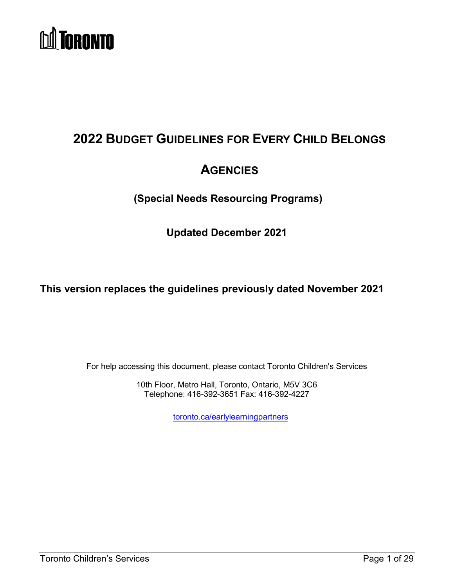

# <span id="page-0-0"></span>**2022 BUDGET GUIDELINES FOR EVERY CHILD BELONGS**

# **AGENCIES**

**(Special Needs Resourcing Programs)**

**Updated December 2021**

**This version replaces the guidelines previously dated November 2021**

For help accessing this document, please contact Toronto Children's Services

10th Floor, Metro Hall, Toronto, Ontario, M5V 3C6 Telephone: 416-392-3651 Fax: 416-392-4227

[toronto.ca/earlylearningpartners](http://www.toronto.ca/earlylearningpartners)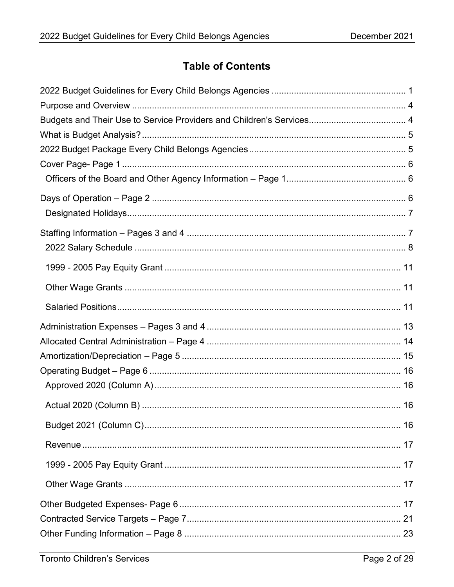## **Table of Contents**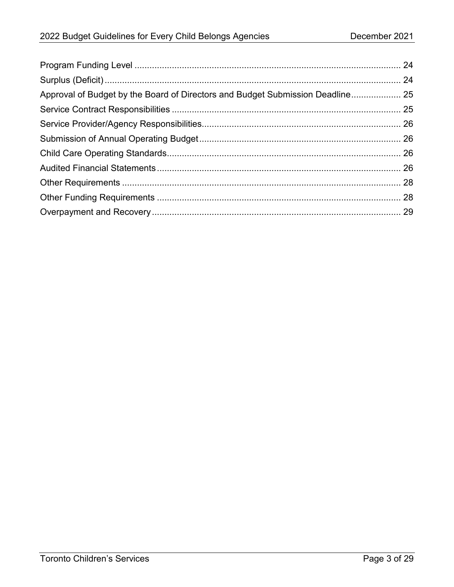| Approval of Budget by the Board of Directors and Budget Submission Deadline 25 |  |
|--------------------------------------------------------------------------------|--|
|                                                                                |  |
|                                                                                |  |
|                                                                                |  |
|                                                                                |  |
|                                                                                |  |
|                                                                                |  |
|                                                                                |  |
|                                                                                |  |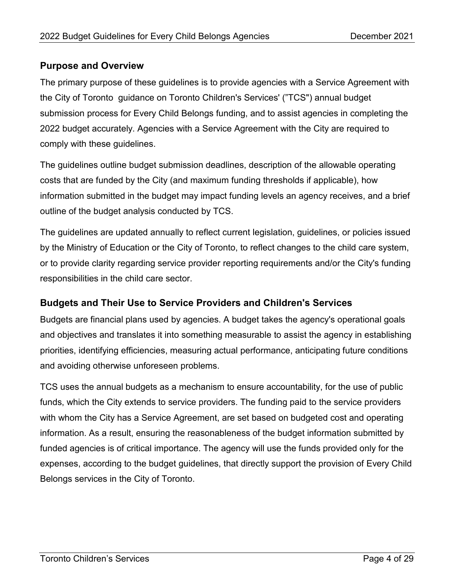## <span id="page-3-0"></span>**Purpose and Overview**

The primary purpose of these guidelines is to provide agencies with a Service Agreement with the City of Toronto guidance on Toronto Children's Services' ("TCS") annual budget submission process for Every Child Belongs funding, and to assist agencies in completing the 2022 budget accurately. Agencies with a Service Agreement with the City are required to comply with these guidelines.

The guidelines outline budget submission deadlines, description of the allowable operating costs that are funded by the City (and maximum funding thresholds if applicable), how information submitted in the budget may impact funding levels an agency receives, and a brief outline of the budget analysis conducted by TCS.

The guidelines are updated annually to reflect current legislation, guidelines, or policies issued by the Ministry of Education or the City of Toronto, to reflect changes to the child care system, or to provide clarity regarding service provider reporting requirements and/or the City's funding responsibilities in the child care sector.

## <span id="page-3-1"></span>**Budgets and Their Use to Service Providers and Children's Services**

Budgets are financial plans used by agencies. A budget takes the agency's operational goals and objectives and translates it into something measurable to assist the agency in establishing priorities, identifying efficiencies, measuring actual performance, anticipating future conditions and avoiding otherwise unforeseen problems.

TCS uses the annual budgets as a mechanism to ensure accountability, for the use of public funds, which the City extends to service providers. The funding paid to the service providers with whom the City has a Service Agreement, are set based on budgeted cost and operating information. As a result, ensuring the reasonableness of the budget information submitted by funded agencies is of critical importance. The agency will use the funds provided only for the expenses, according to the budget guidelines, that directly support the provision of Every Child Belongs services in the City of Toronto.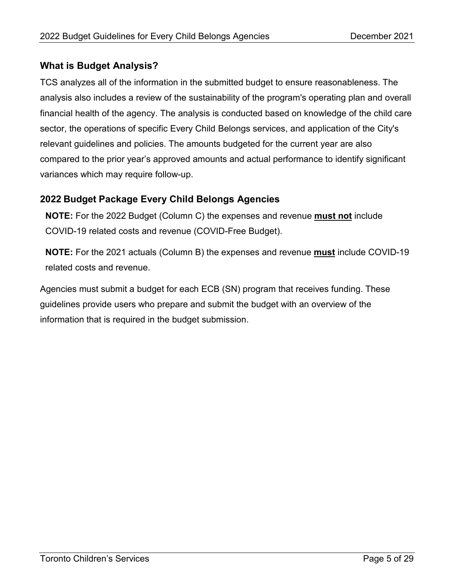### <span id="page-4-0"></span>**What is Budget Analysis?**

TCS analyzes all of the information in the submitted budget to ensure reasonableness. The analysis also includes a review of the sustainability of the program's operating plan and overall financial health of the agency. The analysis is conducted based on knowledge of the child care sector, the operations of specific Every Child Belongs services, and application of the City's relevant guidelines and policies. The amounts budgeted for the current year are also compared to the prior year's approved amounts and actual performance to identify significant variances which may require follow-up.

## <span id="page-4-1"></span>**2022 Budget Package Every Child Belongs Agencies**

**NOTE:** For the 2022 Budget (Column C) the expenses and revenue **must not** include COVID-19 related costs and revenue (COVID-Free Budget).

**NOTE:** For the 2021 actuals (Column B) the expenses and revenue **must** include COVID-19 related costs and revenue.

Agencies must submit a budget for each ECB (SN) program that receives funding. These guidelines provide users who prepare and submit the budget with an overview of the information that is required in the budget submission.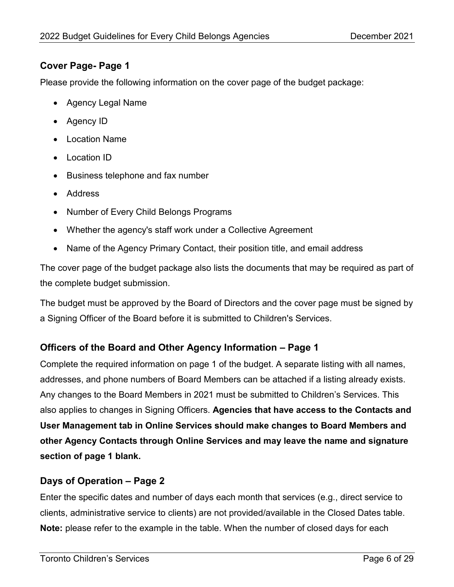## <span id="page-5-0"></span>**Cover Page- Page 1**

Please provide the following information on the cover page of the budget package:

- Agency Legal Name
- Agency ID
- Location Name
- Location ID
- Business telephone and fax number
- Address
- Number of Every Child Belongs Programs
- Whether the agency's staff work under a Collective Agreement
- Name of the Agency Primary Contact, their position title, and email address

The cover page of the budget package also lists the documents that may be required as part of the complete budget submission.

The budget must be approved by the Board of Directors and the cover page must be signed by a Signing Officer of the Board before it is submitted to Children's Services.

## <span id="page-5-1"></span>**Officers of the Board and Other Agency Information – Page 1**

Complete the required information on page 1 of the budget. A separate listing with all names, addresses, and phone numbers of Board Members can be attached if a listing already exists. Any changes to the Board Members in 2021 must be submitted to Children's Services. This also applies to changes in Signing Officers. **Agencies that have access to the Contacts and User Management tab in Online Services should make changes to Board Members and other Agency Contacts through Online Services and may leave the name and signature section of page 1 blank.**

## <span id="page-5-2"></span>**Days of Operation – Page 2**

Enter the specific dates and number of days each month that services (e.g., direct service to clients, administrative service to clients) are not provided/available in the Closed Dates table. **Note:** please refer to the example in the table. When the number of closed days for each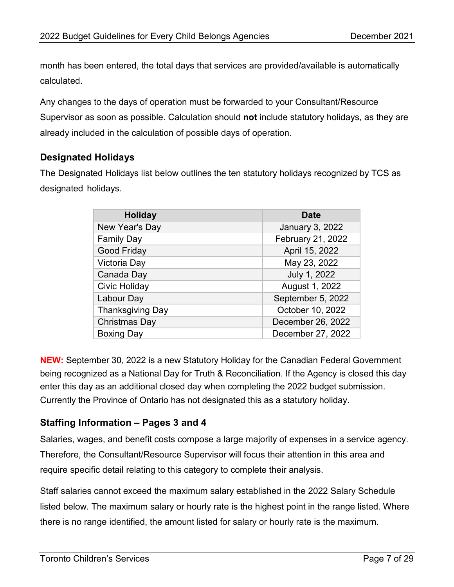month has been entered, the total days that services are provided/available is automatically calculated.

Any changes to the days of operation must be forwarded to your Consultant/Resource Supervisor as soon as possible. Calculation should **not** include statutory holidays, as they are already included in the calculation of possible days of operation.

## <span id="page-6-0"></span>**Designated Holidays**

The Designated Holidays list below outlines the ten statutory holidays recognized by TCS as designated holidays.

| <b>Holiday</b>          | <b>Date</b>            |
|-------------------------|------------------------|
| New Year's Day          | <b>January 3, 2022</b> |
| <b>Family Day</b>       | February 21, 2022      |
| <b>Good Friday</b>      | April 15, 2022         |
| Victoria Day            | May 23, 2022           |
| Canada Day              | July 1, 2022           |
| <b>Civic Holiday</b>    | August 1, 2022         |
| Labour Day              | September 5, 2022      |
| <b>Thanksgiving Day</b> | October 10, 2022       |
| <b>Christmas Day</b>    | December 26, 2022      |
| <b>Boxing Day</b>       | December 27, 2022      |

**NEW:** September 30, 2022 is a new Statutory Holiday for the Canadian Federal Government being recognized as a National Day for Truth & Reconciliation. If the Agency is closed this day enter this day as an additional closed day when completing the 2022 budget submission. Currently the Province of Ontario has not designated this as a statutory holiday.

## <span id="page-6-1"></span>**Staffing Information – Pages 3 and 4**

Salaries, wages, and benefit costs compose a large majority of expenses in a service agency. Therefore, the Consultant/Resource Supervisor will focus their attention in this area and require specific detail relating to this category to complete their analysis.

Staff salaries cannot exceed the maximum salary established in the 2022 Salary Schedule listed below. The maximum salary or hourly rate is the highest point in the range listed. Where there is no range identified, the amount listed for salary or hourly rate is the maximum.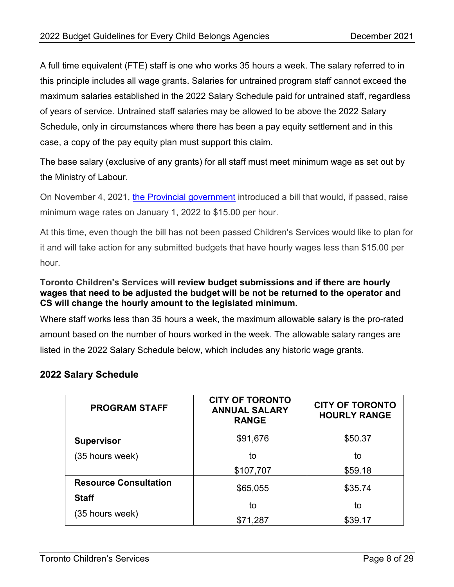A full time equivalent (FTE) staff is one who works 35 hours a week. The salary referred to in this principle includes all wage grants. Salaries for untrained program staff cannot exceed the maximum salaries established in the 2022 Salary Schedule paid for untrained staff, regardless of years of service. Untrained staff salaries may be allowed to be above the 2022 Salary Schedule, only in circumstances where there has been a pay equity settlement and in this case, a copy of the pay equity plan must support this claim.

The base salary (exclusive of any grants) for all staff must meet minimum wage as set out by the Ministry of Labour.

On November 4, 2021, [the Provincial government](https://www.ontario.ca/document/your-guide-employment-standards-act-0/minimum-wage) introduced a bill that would, if passed, raise minimum wage rates on January 1, 2022 to \$15.00 per hour.

At this time, even though the bill has not been passed Children's Services would like to plan for it and will take action for any submitted budgets that have hourly wages less than \$15.00 per hour.

#### **Toronto Children's Services will review budget submissions and if there are hourly wages that need to be adjusted the budget will be not be returned to the operator and CS will change the hourly amount to the legislated minimum.**

Where staff works less than 35 hours a week, the maximum allowable salary is the pro-rated amount based on the number of hours worked in the week. The allowable salary ranges are listed in the 2022 Salary Schedule below, which includes any historic wage grants.

## <span id="page-7-0"></span>**2022 Salary Schedule**

| <b>PROGRAM STAFF</b>         | <b>CITY OF TORONTO</b><br><b>ANNUAL SALARY</b><br><b>RANGE</b> | <b>CITY OF TORONTO</b><br><b>HOURLY RANGE</b> |
|------------------------------|----------------------------------------------------------------|-----------------------------------------------|
| <b>Supervisor</b>            | \$91,676                                                       | \$50.37                                       |
| (35 hours week)              | to                                                             | to                                            |
|                              | \$107,707                                                      | \$59.18                                       |
| <b>Resource Consultation</b> | \$65,055                                                       | \$35.74                                       |
| <b>Staff</b>                 | to                                                             | to                                            |
| (35 hours week)              | \$71,287                                                       | \$39.17                                       |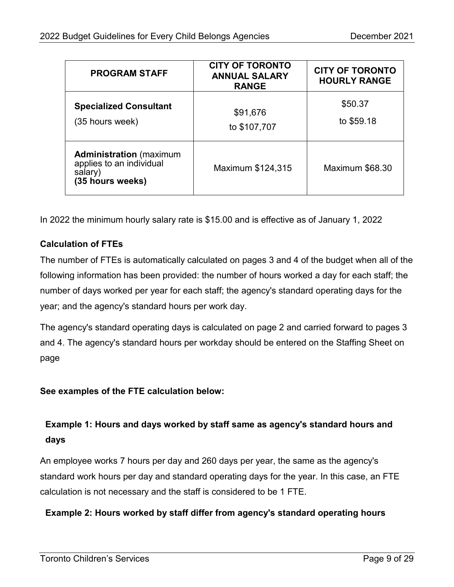| <b>PROGRAM STAFF</b>                                                                      | <b>CITY OF TORONTO</b><br><b>ANNUAL SALARY</b><br><b>RANGE</b> | <b>CITY OF TORONTO</b><br><b>HOURLY RANGE</b> |
|-------------------------------------------------------------------------------------------|----------------------------------------------------------------|-----------------------------------------------|
| <b>Specialized Consultant</b><br>(35 hours week)                                          | \$91,676<br>to \$107,707                                       | \$50.37<br>to \$59.18                         |
| <b>Administration</b> (maximum<br>applies to an individual<br>salary)<br>(35 hours weeks) | Maximum \$124,315                                              | Maximum \$68.30                               |

In 2022 the minimum hourly salary rate is \$15.00 and is effective as of January 1, 2022

## **Calculation of FTEs**

The number of FTEs is automatically calculated on pages 3 and 4 of the budget when all of the following information has been provided: the number of hours worked a day for each staff; the number of days worked per year for each staff; the agency's standard operating days for the year; and the agency's standard hours per work day.

The agency's standard operating days is calculated on page 2 and carried forward to pages 3 and 4. The agency's standard hours per workday should be entered on the Staffing Sheet on page

**See examples of the FTE calculation below:** 

## **Example 1: Hours and days worked by staff same as agency's standard hours and days**

An employee works 7 hours per day and 260 days per year, the same as the agency's standard work hours per day and standard operating days for the year. In this case, an FTE calculation is not necessary and the staff is considered to be 1 FTE.

## **Example 2: Hours worked by staff differ from agency's standard operating hours**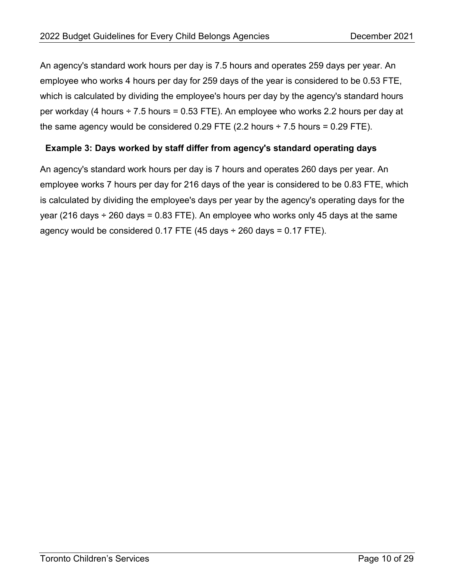An agency's standard work hours per day is 7.5 hours and operates 259 days per year. An employee who works 4 hours per day for 259 days of the year is considered to be 0.53 FTE, which is calculated by dividing the employee's hours per day by the agency's standard hours per workday (4 hours ÷ 7.5 hours = 0.53 FTE). An employee who works 2.2 hours per day at the same agency would be considered  $0.29$  FTE (2.2 hours  $\div$  7.5 hours = 0.29 FTE).

#### **Example 3: Days worked by staff differ from agency's standard operating days**

An agency's standard work hours per day is 7 hours and operates 260 days per year. An employee works 7 hours per day for 216 days of the year is considered to be 0.83 FTE, which is calculated by dividing the employee's days per year by the agency's operating days for the year (216 days  $\div$  260 days = 0.83 FTE). An employee who works only 45 days at the same agency would be considered  $0.17$  FTE (45 days  $\div$  260 days = 0.17 FTE).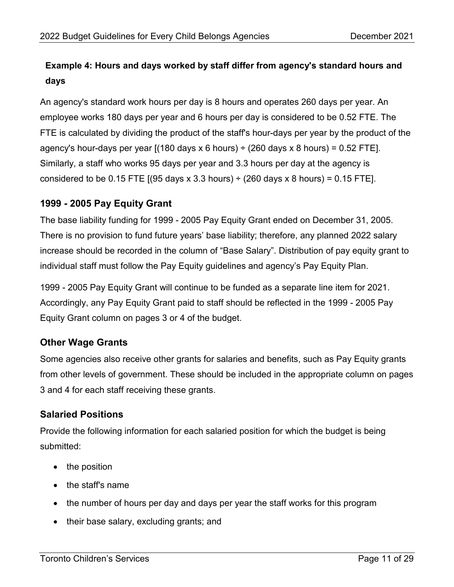## **Example 4: Hours and days worked by staff differ from agency's standard hours and days**

An agency's standard work hours per day is 8 hours and operates 260 days per year. An employee works 180 days per year and 6 hours per day is considered to be 0.52 FTE. The FTE is calculated by dividing the product of the staff's hour-days per year by the product of the agency's hour-days per year  $[(180 \text{ days} \times 6 \text{ hours}) \div (260 \text{ days} \times 8 \text{ hours}) = 0.52 \text{ FTE}]$ . Similarly, a staff who works 95 days per year and 3.3 hours per day at the agency is considered to be 0.15 FTE  $(95 \text{ days} \times 3.3 \text{ hours}) \div (260 \text{ days} \times 8 \text{ hours}) = 0.15 \text{ FTE}.$ 

## <span id="page-10-0"></span>**1999 - 2005 Pay Equity Grant**

The base liability funding for 1999 - 2005 Pay Equity Grant ended on December 31, 2005. There is no provision to fund future years' base liability; therefore, any planned 2022 salary increase should be recorded in the column of "Base Salary". Distribution of pay equity grant to individual staff must follow the Pay Equity guidelines and agency's Pay Equity Plan.

1999 - 2005 Pay Equity Grant will continue to be funded as a separate line item for 2021. Accordingly, any Pay Equity Grant paid to staff should be reflected in the 1999 - 2005 Pay Equity Grant column on pages 3 or 4 of the budget.

## <span id="page-10-1"></span>**Other Wage Grants**

Some agencies also receive other grants for salaries and benefits, such as Pay Equity grants from other levels of government. These should be included in the appropriate column on pages 3 and 4 for each staff receiving these grants.

## <span id="page-10-2"></span>**Salaried Positions**

Provide the following information for each salaried position for which the budget is being submitted:

- the position
- the staff's name
- the number of hours per day and days per year the staff works for this program
- their base salary, excluding grants; and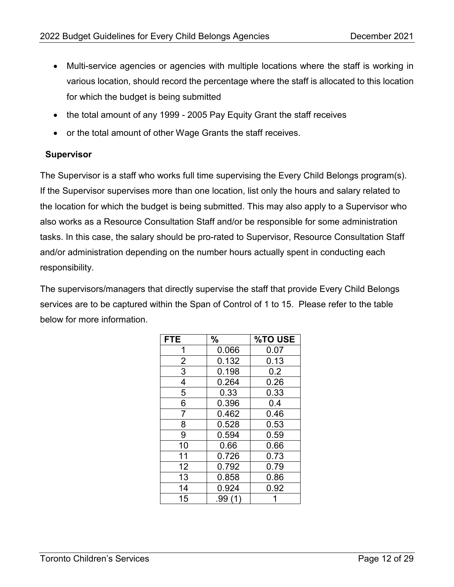- Multi-service agencies or agencies with multiple locations where the staff is working in various location, should record the percentage where the staff is allocated to this location for which the budget is being submitted
- the total amount of any 1999 2005 Pay Equity Grant the staff receives
- or the total amount of other Wage Grants the staff receives.

#### **Supervisor**

The Supervisor is a staff who works full time supervising the Every Child Belongs program(s). If the Supervisor supervises more than one location, list only the hours and salary related to the location for which the budget is being submitted. This may also apply to a Supervisor who also works as a Resource Consultation Staff and/or be responsible for some administration tasks. In this case, the salary should be pro-rated to Supervisor, Resource Consultation Staff and/or administration depending on the number hours actually spent in conducting each responsibility.

The supervisors/managers that directly supervise the staff that provide Every Child Belongs services are to be captured within the Span of Control of 1 to 15. Please refer to the table below for more information.

| <b>FTE</b>     | $\%$   | <b>%TO USE</b> |
|----------------|--------|----------------|
| 1              | 0.066  | 0.07           |
| $\overline{2}$ | 0.132  | 0.13           |
| $\overline{3}$ | 0.198  | 0.2            |
| 4              | 0.264  | 0.26           |
| $\overline{5}$ | 0.33   | 0.33           |
| 6              | 0.396  | 0.4            |
| 7              | 0.462  | 0.46           |
| 8              | 0.528  | 0.53           |
| 9              | 0.594  | 0.59           |
| 10             | 0.66   | 0.66           |
| 11             | 0.726  | 0.73           |
| 12             | 0.792  | 0.79           |
| 13             | 0.858  | 0.86           |
| 14             | 0.924  | 0.92           |
| 15             | .99 (1 |                |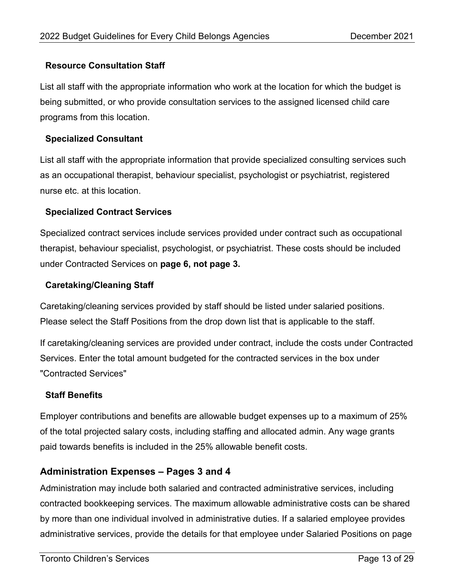#### **Resource Consultation Staff**

List all staff with the appropriate information who work at the location for which the budget is being submitted, or who provide consultation services to the assigned licensed child care programs from this location.

#### **Specialized Consultant**

List all staff with the appropriate information that provide specialized consulting services such as an occupational therapist, behaviour specialist, psychologist or psychiatrist, registered nurse etc. at this location.

#### **Specialized Contract Services**

Specialized contract services include services provided under contract such as occupational therapist, behaviour specialist, psychologist, or psychiatrist. These costs should be included under Contracted Services on **page 6, not page 3.**

#### **Caretaking/Cleaning Staff**

Caretaking/cleaning services provided by staff should be listed under salaried positions. Please select the Staff Positions from the drop down list that is applicable to the staff.

If caretaking/cleaning services are provided under contract, include the costs under Contracted Services. Enter the total amount budgeted for the contracted services in the box under "Contracted Services"

#### **Staff Benefits**

Employer contributions and benefits are allowable budget expenses up to a maximum of 25% of the total projected salary costs, including staffing and allocated admin. Any wage grants paid towards benefits is included in the 25% allowable benefit costs.

#### <span id="page-12-0"></span>**Administration Expenses – Pages 3 and 4**

Administration may include both salaried and contracted administrative services, including contracted bookkeeping services. The maximum allowable administrative costs can be shared by more than one individual involved in administrative duties. If a salaried employee provides administrative services, provide the details for that employee under Salaried Positions on page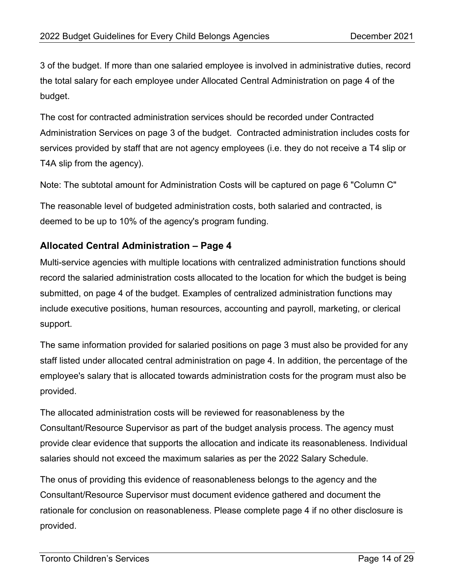3 of the budget. If more than one salaried employee is involved in administrative duties, record the total salary for each employee under Allocated Central Administration on page 4 of the budget.

The cost for contracted administration services should be recorded under Contracted Administration Services on page 3 of the budget. Contracted administration includes costs for services provided by staff that are not agency employees (i.e. they do not receive a T4 slip or T4A slip from the agency).

Note: The subtotal amount for Administration Costs will be captured on page 6 "Column C"

The reasonable level of budgeted administration costs, both salaried and contracted, is deemed to be up to 10% of the agency's program funding.

## <span id="page-13-0"></span>**Allocated Central Administration – Page 4**

Multi-service agencies with multiple locations with centralized administration functions should record the salaried administration costs allocated to the location for which the budget is being submitted, on page 4 of the budget. Examples of centralized administration functions may include executive positions, human resources, accounting and payroll, marketing, or clerical support.

The same information provided for salaried positions on page 3 must also be provided for any staff listed under allocated central administration on page 4. In addition, the percentage of the employee's salary that is allocated towards administration costs for the program must also be provided.

The allocated administration costs will be reviewed for reasonableness by the Consultant/Resource Supervisor as part of the budget analysis process. The agency must provide clear evidence that supports the allocation and indicate its reasonableness. Individual salaries should not exceed the maximum salaries as per the 2022 Salary Schedule.

The onus of providing this evidence of reasonableness belongs to the agency and the Consultant/Resource Supervisor must document evidence gathered and document the rationale for conclusion on reasonableness. Please complete page 4 if no other disclosure is provided.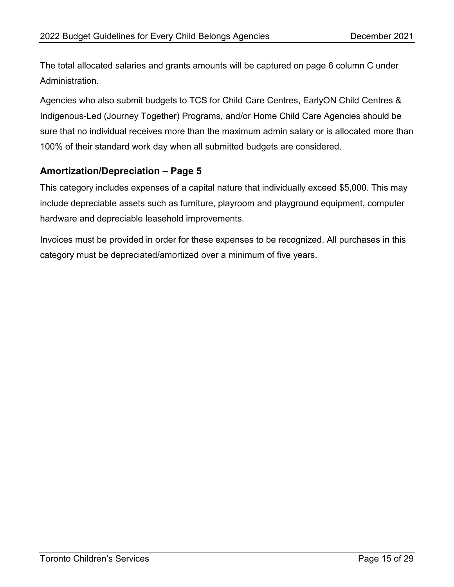The total allocated salaries and grants amounts will be captured on page 6 column C under Administration.

Agencies who also submit budgets to TCS for Child Care Centres, EarlyON Child Centres & Indigenous-Led (Journey Together) Programs, and/or Home Child Care Agencies should be sure that no individual receives more than the maximum admin salary or is allocated more than 100% of their standard work day when all submitted budgets are considered.

## <span id="page-14-0"></span>**Amortization/Depreciation – Page 5**

This category includes expenses of a capital nature that individually exceed \$5,000. This may include depreciable assets such as furniture, playroom and playground equipment, computer hardware and depreciable leasehold improvements.

Invoices must be provided in order for these expenses to be recognized. All purchases in this category must be depreciated/amortized over a minimum of five years.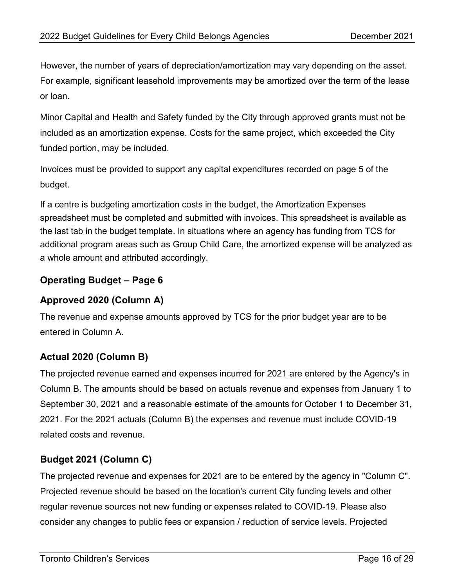However, the number of years of depreciation/amortization may vary depending on the asset. For example, significant leasehold improvements may be amortized over the term of the lease or loan.

Minor Capital and Health and Safety funded by the City through approved grants must not be included as an amortization expense. Costs for the same project, which exceeded the City funded portion, may be included.

Invoices must be provided to support any capital expenditures recorded on page 5 of the budget.

If a centre is budgeting amortization costs in the budget, the Amortization Expenses spreadsheet must be completed and submitted with invoices. This spreadsheet is available as the last tab in the budget template. In situations where an agency has funding from TCS for additional program areas such as Group Child Care, the amortized expense will be analyzed as a whole amount and attributed accordingly.

## <span id="page-15-0"></span>**Operating Budget – Page 6**

## <span id="page-15-1"></span>**Approved 2020 (Column A)**

The revenue and expense amounts approved by TCS for the prior budget year are to be entered in Column A.

## <span id="page-15-2"></span>**Actual 2020 (Column B)**

The projected revenue earned and expenses incurred for 2021 are entered by the Agency's in Column B. The amounts should be based on actuals revenue and expenses from January 1 to September 30, 2021 and a reasonable estimate of the amounts for October 1 to December 31, 2021. For the 2021 actuals (Column B) the expenses and revenue must include COVID-19 related costs and revenue.

## <span id="page-15-3"></span>**Budget 2021 (Column C)**

The projected revenue and expenses for 2021 are to be entered by the agency in "Column C". Projected revenue should be based on the location's current City funding levels and other regular revenue sources not new funding or expenses related to COVID-19. Please also consider any changes to public fees or expansion / reduction of service levels. Projected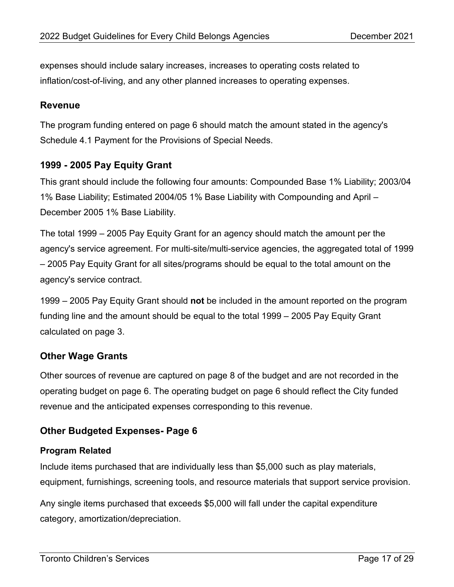expenses should include salary increases, increases to operating costs related to inflation/cost-of-living, and any other planned increases to operating expenses.

#### <span id="page-16-0"></span>**Revenue**

The program funding entered on page 6 should match the amount stated in the agency's Schedule 4.1 Payment for the Provisions of Special Needs.

### <span id="page-16-1"></span>**1999 - 2005 Pay Equity Grant**

This grant should include the following four amounts: Compounded Base 1% Liability; 2003/04 1% Base Liability; Estimated 2004/05 1% Base Liability with Compounding and April – December 2005 1% Base Liability.

The total 1999 – 2005 Pay Equity Grant for an agency should match the amount per the agency's service agreement. For multi-site/multi-service agencies, the aggregated total of 1999 – 2005 Pay Equity Grant for all sites/programs should be equal to the total amount on the agency's service contract.

1999 – 2005 Pay Equity Grant should **not** be included in the amount reported on the program funding line and the amount should be equal to the total 1999 – 2005 Pay Equity Grant calculated on page 3.

## <span id="page-16-2"></span>**Other Wage Grants**

Other sources of revenue are captured on page 8 of the budget and are not recorded in the operating budget on page 6. The operating budget on page 6 should reflect the City funded revenue and the anticipated expenses corresponding to this revenue.

## <span id="page-16-3"></span>**Other Budgeted Expenses- Page 6**

#### **Program Related**

Include items purchased that are individually less than \$5,000 such as play materials, equipment, furnishings, screening tools, and resource materials that support service provision.

Any single items purchased that exceeds \$5,000 will fall under the capital expenditure category, amortization/depreciation.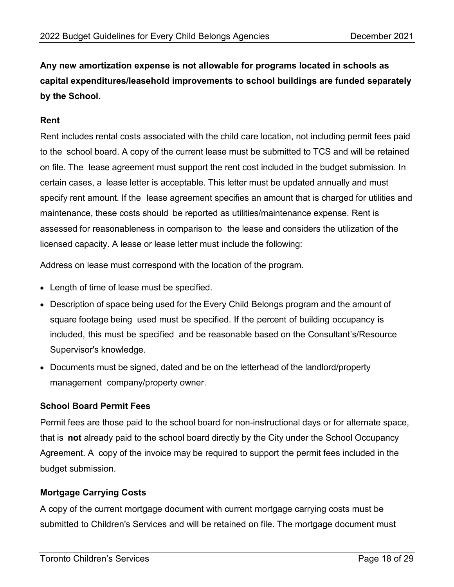**Any new amortization expense is not allowable for programs located in schools as capital expenditures/leasehold improvements to school buildings are funded separately by the School.**

#### **Rent**

Rent includes rental costs associated with the child care location, not including permit fees paid to the school board. A copy of the current lease must be submitted to TCS and will be retained on file. The lease agreement must support the rent cost included in the budget submission. In certain cases, a lease letter is acceptable. This letter must be updated annually and must specify rent amount. If the lease agreement specifies an amount that is charged for utilities and maintenance, these costs should be reported as utilities/maintenance expense. Rent is assessed for reasonableness in comparison to the lease and considers the utilization of the licensed capacity. A lease or lease letter must include the following:

Address on lease must correspond with the location of the program.

- Length of time of lease must be specified.
- Description of space being used for the Every Child Belongs program and the amount of square footage being used must be specified. If the percent of building occupancy is included, this must be specified and be reasonable based on the Consultant's/Resource Supervisor's knowledge.
- Documents must be signed, dated and be on the letterhead of the landlord/property management company/property owner.

#### **School Board Permit Fees**

Permit fees are those paid to the school board for non-instructional days or for alternate space, that is **not** already paid to the school board directly by the City under the School Occupancy Agreement. A copy of the invoice may be required to support the permit fees included in the budget submission.

#### **Mortgage Carrying Costs**

A copy of the current mortgage document with current mortgage carrying costs must be submitted to Children's Services and will be retained on file. The mortgage document must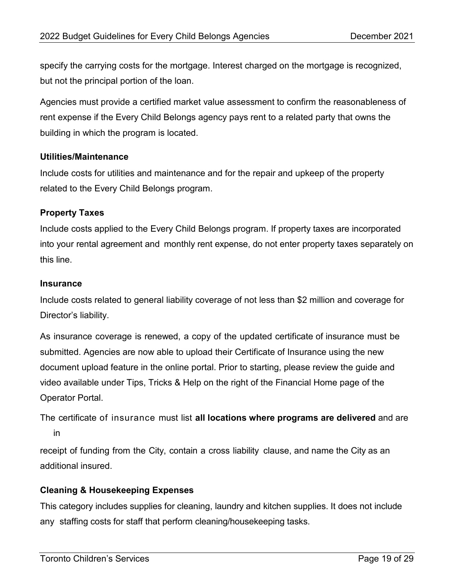specify the carrying costs for the mortgage. Interest charged on the mortgage is recognized, but not the principal portion of the loan.

Agencies must provide a certified market value assessment to confirm the reasonableness of rent expense if the Every Child Belongs agency pays rent to a related party that owns the building in which the program is located.

#### **Utilities/Maintenance**

Include costs for utilities and maintenance and for the repair and upkeep of the property related to the Every Child Belongs program.

#### **Property Taxes**

Include costs applied to the Every Child Belongs program. If property taxes are incorporated into your rental agreement and monthly rent expense, do not enter property taxes separately on this line.

#### **Insurance**

Include costs related to general liability coverage of not less than \$2 million and coverage for Director's liability.

As insurance coverage is renewed, a copy of the updated certificate of insurance must be submitted. Agencies are now able to upload their Certificate of Insurance using the new document upload feature in the online portal. Prior to starting, please review the guide and video available under Tips, Tricks & Help on the right of the Financial Home page of the Operator Portal.

The certificate of insurance must list **all locations where programs are delivered** and are in

receipt of funding from the City, contain a cross liability clause, and name the City as an additional insured.

#### **Cleaning & Housekeeping Expenses**

This category includes supplies for cleaning, laundry and kitchen supplies. It does not include any staffing costs for staff that perform cleaning/housekeeping tasks.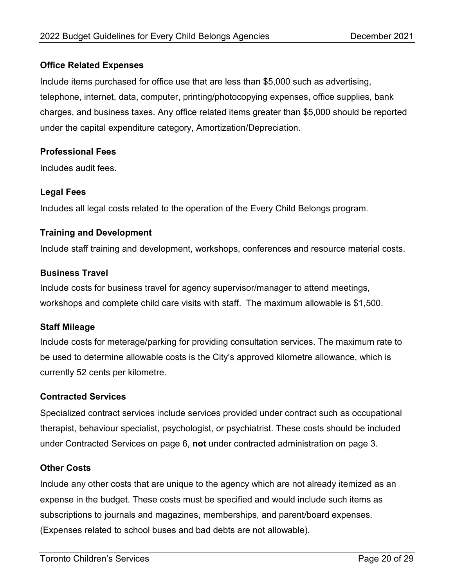#### **Office Related Expenses**

Include items purchased for office use that are less than \$5,000 such as advertising, telephone, internet, data, computer, printing/photocopying expenses, office supplies, bank charges, and business taxes. Any office related items greater than \$5,000 should be reported under the capital expenditure category, Amortization/Depreciation.

#### **Professional Fees**

Includes audit fees.

### **Legal Fees**

Includes all legal costs related to the operation of the Every Child Belongs program.

#### **Training and Development**

Include staff training and development, workshops, conferences and resource material costs.

#### **Business Travel**

Include costs for business travel for agency supervisor/manager to attend meetings, workshops and complete child care visits with staff. The maximum allowable is \$1,500.

#### **Staff Mileage**

Include costs for meterage/parking for providing consultation services. The maximum rate to be used to determine allowable costs is the City's approved kilometre allowance, which is currently 52 cents per kilometre.

#### **Contracted Services**

Specialized contract services include services provided under contract such as occupational therapist, behaviour specialist, psychologist, or psychiatrist. These costs should be included under Contracted Services on page 6, **not** under contracted administration on page 3.

#### **Other Costs**

Include any other costs that are unique to the agency which are not already itemized as an expense in the budget. These costs must be specified and would include such items as subscriptions to journals and magazines, memberships, and parent/board expenses. (Expenses related to school buses and bad debts are not allowable).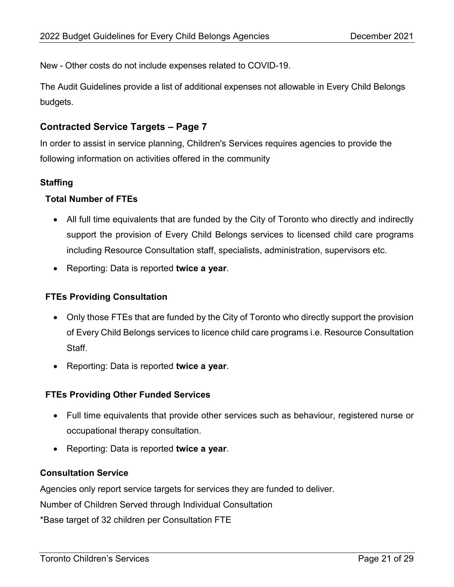New - Other costs do not include expenses related to COVID-19.

The Audit Guidelines provide a list of additional expenses not allowable in Every Child Belongs budgets.

#### <span id="page-20-0"></span>**Contracted Service Targets – Page 7**

In order to assist in service planning, Children's Services requires agencies to provide the following information on activities offered in the community

#### **Staffing**

#### **Total Number of FTEs**

- All full time equivalents that are funded by the City of Toronto who directly and indirectly support the provision of Every Child Belongs services to licensed child care programs including Resource Consultation staff, specialists, administration, supervisors etc.
- Reporting: Data is reported **twice a year**.

#### **FTEs Providing Consultation**

- Only those FTEs that are funded by the City of Toronto who directly support the provision of Every Child Belongs services to licence child care programs i.e. Resource Consultation Staff.
- Reporting: Data is reported **twice a year**.

#### **FTEs Providing Other Funded Services**

- Full time equivalents that provide other services such as behaviour, registered nurse or occupational therapy consultation.
- Reporting: Data is reported **twice a year**.

#### **Consultation Service**

Agencies only report service targets for services they are funded to deliver.

Number of Children Served through Individual Consultation

\*Base target of 32 children per Consultation FTE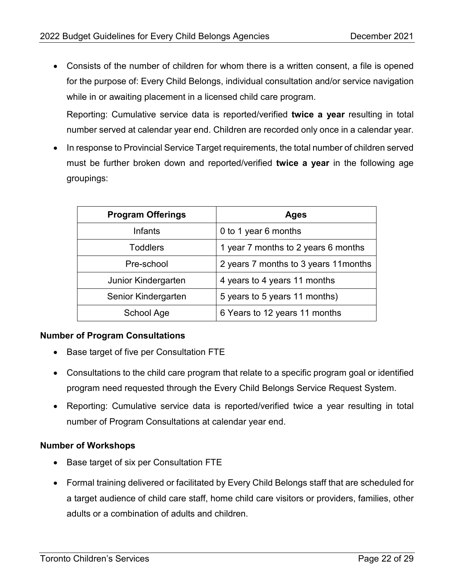• Consists of the number of children for whom there is a written consent, a file is opened for the purpose of: Every Child Belongs, individual consultation and/or service navigation while in or awaiting placement in a licensed child care program.

Reporting: Cumulative service data is reported/verified **twice a year** resulting in total number served at calendar year end. Children are recorded only once in a calendar year.

• In response to Provincial Service Target requirements, the total number of children served must be further broken down and reported/verified **twice a year** in the following age groupings:

| <b>Program Offerings</b> | Ages                                  |
|--------------------------|---------------------------------------|
| Infants                  | 0 to 1 year 6 months                  |
| <b>Toddlers</b>          | 1 year 7 months to 2 years 6 months   |
| Pre-school               | 2 years 7 months to 3 years 11 months |
| Junior Kindergarten      | 4 years to 4 years 11 months          |
| Senior Kindergarten      | 5 years to 5 years 11 months)         |
| School Age               | 6 Years to 12 years 11 months         |

#### **Number of Program Consultations**

- Base target of five per Consultation FTE
- Consultations to the child care program that relate to a specific program goal or identified program need requested through the Every Child Belongs Service Request System.
- Reporting: Cumulative service data is reported/verified twice a year resulting in total number of Program Consultations at calendar year end.

#### **Number of Workshops**

- Base target of six per Consultation FTE
- Formal training delivered or facilitated by Every Child Belongs staff that are scheduled for a target audience of child care staff, home child care visitors or providers, families, other adults or a combination of adults and children.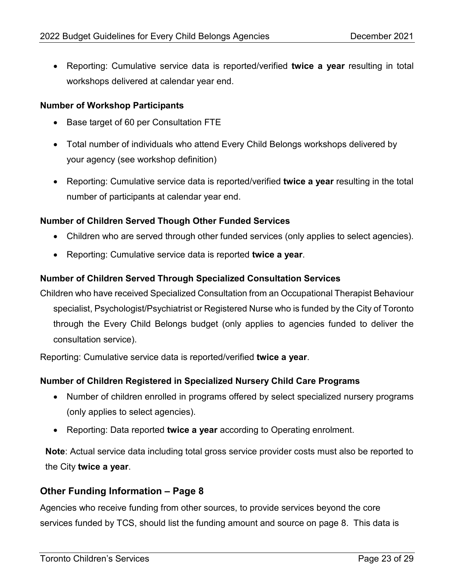• Reporting: Cumulative service data is reported/verified **twice a year** resulting in total workshops delivered at calendar year end.

#### **Number of Workshop Participants**

- Base target of 60 per Consultation FTE
- Total number of individuals who attend Every Child Belongs workshops delivered by your agency (see workshop definition)
- Reporting: Cumulative service data is reported/verified **twice a year** resulting in the total number of participants at calendar year end.

#### **Number of Children Served Though Other Funded Services**

- Children who are served through other funded services (only applies to select agencies).
- Reporting: Cumulative service data is reported **twice a year**.

#### **Number of Children Served Through Specialized Consultation Services**

Children who have received Specialized Consultation from an Occupational Therapist Behaviour specialist, Psychologist/Psychiatrist or Registered Nurse who is funded by the City of Toronto through the Every Child Belongs budget (only applies to agencies funded to deliver the consultation service).

Reporting: Cumulative service data is reported/verified **twice a year**.

#### **Number of Children Registered in Specialized Nursery Child Care Programs**

- Number of children enrolled in programs offered by select specialized nursery programs (only applies to select agencies).
- Reporting: Data reported **twice a year** according to Operating enrolment.

**Note**: Actual service data including total gross service provider costs must also be reported to the City **twice a year**.

#### <span id="page-22-0"></span>**Other Funding Information – Page 8**

Agencies who receive funding from other sources, to provide services beyond the core services funded by TCS, should list the funding amount and source on page 8. This data is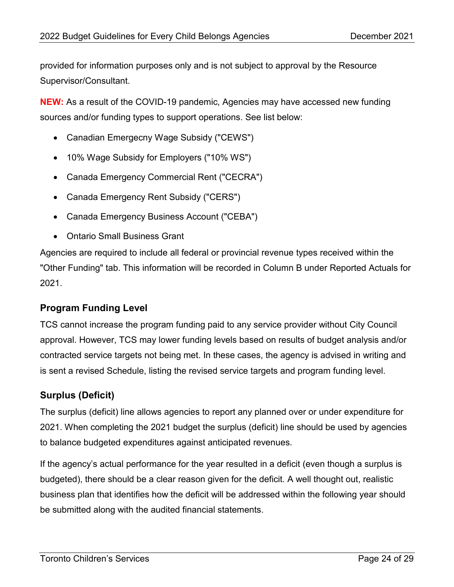provided for information purposes only and is not subject to approval by the Resource Supervisor/Consultant.

**NEW:** As a result of the COVID-19 pandemic, Agencies may have accessed new funding sources and/or funding types to support operations. See list below:

- Canadian Emergecny Wage Subsidy ("CEWS")
- 10% Wage Subsidy for Employers ("10% WS")
- Canada Emergency Commercial Rent ("CECRA")
- Canada Emergency Rent Subsidy ("CERS")
- Canada Emergency Business Account ("CEBA")
- Ontario Small Business Grant

Agencies are required to include all federal or provincial revenue types received within the "Other Funding" tab. This information will be recorded in Column B under Reported Actuals for 2021.

## <span id="page-23-0"></span>**Program Funding Level**

TCS cannot increase the program funding paid to any service provider without City Council approval. However, TCS may lower funding levels based on results of budget analysis and/or contracted service targets not being met. In these cases, the agency is advised in writing and is sent a revised Schedule, listing the revised service targets and program funding level.

## <span id="page-23-1"></span>**Surplus (Deficit)**

The surplus (deficit) line allows agencies to report any planned over or under expenditure for 2021. When completing the 2021 budget the surplus (deficit) line should be used by agencies to balance budgeted expenditures against anticipated revenues.

If the agency's actual performance for the year resulted in a deficit (even though a surplus is budgeted), there should be a clear reason given for the deficit. A well thought out, realistic business plan that identifies how the deficit will be addressed within the following year should be submitted along with the audited financial statements.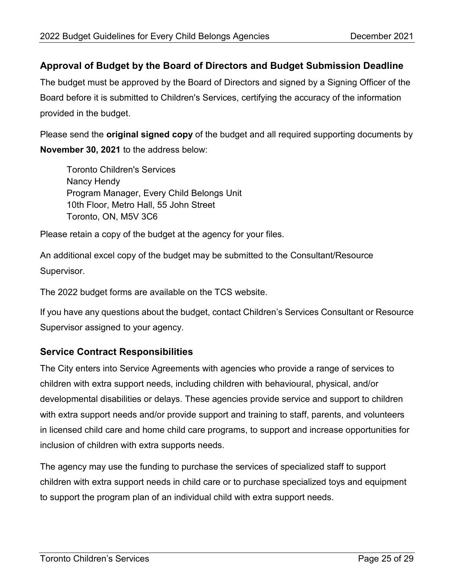## <span id="page-24-0"></span>**Approval of Budget by the Board of Directors and Budget Submission Deadline**

The budget must be approved by the Board of Directors and signed by a Signing Officer of the Board before it is submitted to Children's Services, certifying the accuracy of the information provided in the budget.

Please send the **original signed copy** of the budget and all required supporting documents by **November 30, 2021** to the address below:

Toronto Children's Services Nancy Hendy Program Manager, Every Child Belongs Unit 10th Floor, Metro Hall, 55 John Street Toronto, ON, M5V 3C6

Please retain a copy of the budget at the agency for your files.

An additional excel copy of the budget may be submitted to the Consultant/Resource Supervisor.

The 2022 budget forms are available on the TCS website.

If you have any questions about the budget, contact Children's Services Consultant or Resource Supervisor assigned to your agency.

## <span id="page-24-1"></span>**Service Contract Responsibilities**

The City enters into Service Agreements with agencies who provide a range of services to children with extra support needs, including children with behavioural, physical, and/or developmental disabilities or delays. These agencies provide service and support to children with extra support needs and/or provide support and training to staff, parents, and volunteers in licensed child care and home child care programs, to support and increase opportunities for inclusion of children with extra supports needs.

The agency may use the funding to purchase the services of specialized staff to support children with extra support needs in child care or to purchase specialized toys and equipment to support the program plan of an individual child with extra support needs.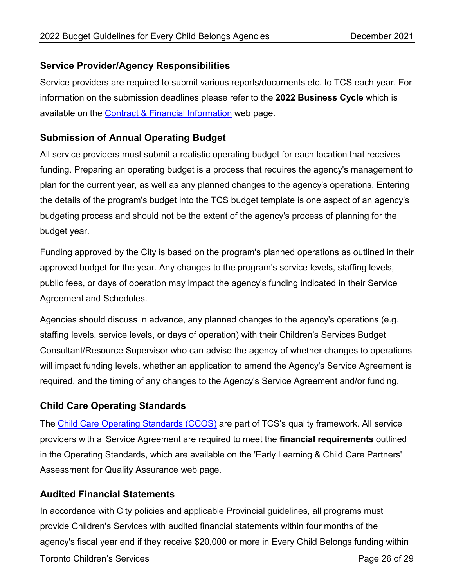## <span id="page-25-0"></span>**Service Provider/Agency Responsibilities**

Service providers are required to submit various reports/documents etc. to TCS each year. For information on the submission deadlines please refer to the **2022 Business Cycle** which is available on the **Contract & Financial Information** web page.

## <span id="page-25-1"></span>**Submission of Annual Operating Budget**

All service providers must submit a realistic operating budget for each location that receives funding. Preparing an operating budget is a process that requires the agency's management to plan for the current year, as well as any planned changes to the agency's operations. Entering the details of the program's budget into the TCS budget template is one aspect of an agency's budgeting process and should not be the extent of the agency's process of planning for the budget year.

Funding approved by the City is based on the program's planned operations as outlined in their approved budget for the year. Any changes to the program's service levels, staffing levels, public fees, or days of operation may impact the agency's funding indicated in their Service Agreement and Schedules.

Agencies should discuss in advance, any planned changes to the agency's operations (e.g. staffing levels, service levels, or days of operation) with their Children's Services Budget Consultant/Resource Supervisor who can advise the agency of whether changes to operations will impact funding levels, whether an application to amend the Agency's Service Agreement is required, and the timing of any changes to the Agency's Service Agreement and/or funding.

## <span id="page-25-2"></span>**Child Care Operating Standards**

The [Child Care Operating Standards \(CCOS\)](https://www.toronto.ca/wp-content/uploads/2019/01/8f5c-cs-aqi-child-care-operating-standards.pdf) are part of TCS's quality framework. All service providers with a Service Agreement are required to meet the **financial requirements** outlined in the Operating Standards, which are available on the 'Early Learning & Child Care Partners' Assessment for Quality Assurance web page.

## <span id="page-25-3"></span>**Audited Financial Statements**

In accordance with City policies and applicable Provincial guidelines, all programs must provide Children's Services with audited financial statements within four months of the agency's fiscal year end if they receive \$20,000 or more in Every Child Belongs funding within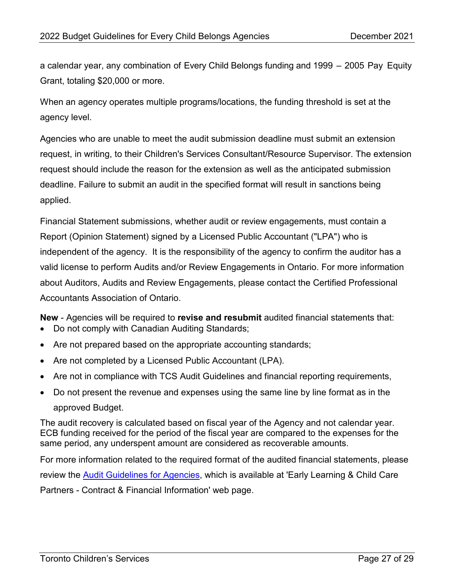a calendar year, any combination of Every Child Belongs funding and 1999 – 2005 Pay Equity Grant, totaling \$20,000 or more.

When an agency operates multiple programs/locations, the funding threshold is set at the agency level.

Agencies who are unable to meet the audit submission deadline must submit an extension request, in writing, to their Children's Services Consultant/Resource Supervisor. The extension request should include the reason for the extension as well as the anticipated submission deadline. Failure to submit an audit in the specified format will result in sanctions being applied.

Financial Statement submissions, whether audit or review engagements, must contain a Report (Opinion Statement) signed by a Licensed Public Accountant ("LPA") who is independent of the agency. It is the responsibility of the agency to confirm the auditor has a valid license to perform Audits and/or Review Engagements in Ontario. For more information about Auditors, Audits and Review Engagements, please contact the Certified Professional Accountants Association of Ontario.

**New** - Agencies will be required to **revise and resubmit** audited financial statements that:

- Do not comply with Canadian Auditing Standards;
- Are not prepared based on the appropriate accounting standards;
- Are not completed by a Licensed Public Accountant (LPA).
- Are not in compliance with TCS Audit Guidelines and financial reporting requirements,
- Do not present the revenue and expenses using the same line by line format as in the approved Budget.

The audit recovery is calculated based on fiscal year of the Agency and not calendar year. ECB funding received for the period of the fiscal year are compared to the expenses for the same period, any underspent amount are considered as recoverable amounts.

For more information related to the required format of the audited financial statements, please review the [Audit Guidelines for Agencies,](https://www.toronto.ca/wp-content/uploads/2019/01/8ed8-cs-audit-guidelines.pdf) which is available at 'Early Learning & Child Care Partners - Contract & Financial Information' web page.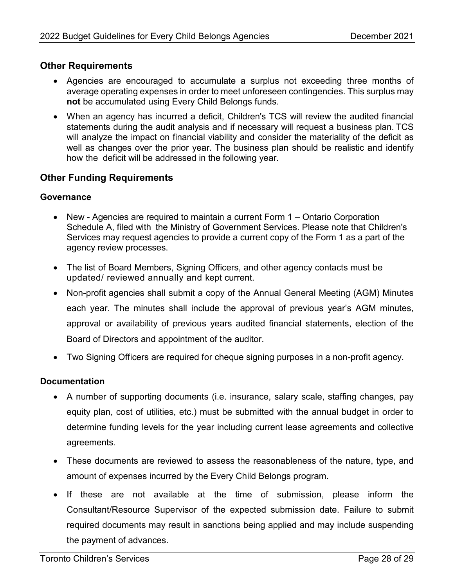### <span id="page-27-0"></span>**Other Requirements**

- Agencies are encouraged to accumulate a surplus not exceeding three months of average operating expenses in order to meet unforeseen contingencies. This surplus may **not** be accumulated using Every Child Belongs funds.
- When an agency has incurred a deficit, Children's TCS will review the audited financial statements during the audit analysis and if necessary will request a business plan. TCS will analyze the impact on financial viability and consider the materiality of the deficit as well as changes over the prior year. The business plan should be realistic and identify how the deficit will be addressed in the following year.

## <span id="page-27-1"></span>**Other Funding Requirements**

#### **Governance**

- New Agencies are required to maintain a current Form 1 Ontario Corporation Schedule A, filed with the Ministry of Government Services. Please note that Children's Services may request agencies to provide a current copy of the Form 1 as a part of the agency review processes.
- The list of Board Members, Signing Officers, and other agency contacts must be updated/ reviewed annually and kept current.
- Non-profit agencies shall submit a copy of the Annual General Meeting (AGM) Minutes each year. The minutes shall include the approval of previous year's AGM minutes, approval or availability of previous years audited financial statements, election of the Board of Directors and appointment of the auditor.
- Two Signing Officers are required for cheque signing purposes in a non-profit agency.

#### **Documentation**

- A number of supporting documents (i.e. insurance, salary scale, staffing changes, pay equity plan, cost of utilities, etc.) must be submitted with the annual budget in order to determine funding levels for the year including current lease agreements and collective agreements.
- These documents are reviewed to assess the reasonableness of the nature, type, and amount of expenses incurred by the Every Child Belongs program.
- If these are not available at the time of submission, please inform the Consultant/Resource Supervisor of the expected submission date. Failure to submit required documents may result in sanctions being applied and may include suspending the payment of advances.